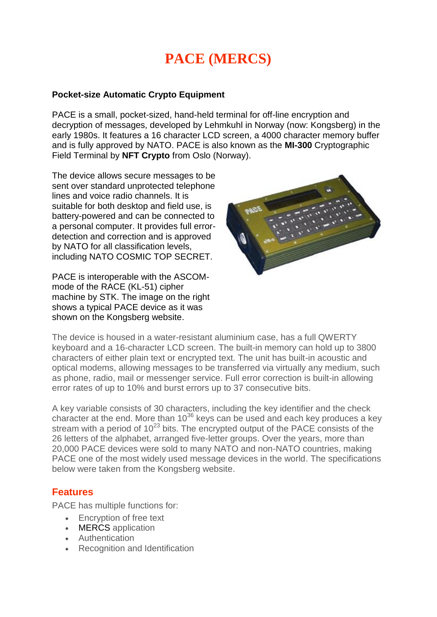# **PACE (MERCS)**

#### **Pocket-size Automatic Crypto Equipment**

PACE is a small, pocket-sized, hand-held terminal for off-line encryption and decryption of messages, developed by Lehmkuhl in Norway (now: Kongsberg) in the early 1980s. It features a 16 character LCD screen, a 4000 character memory buffer and is fully approved by NATO. PACE is also known as the **MI-300** Cryptographic Field Terminal by **NFT Crypto** from Oslo (Norway).

The device allows secure messages to be sent over standard unprotected telephone lines and voice radio channels. It is suitable for both desktop and field use, is battery-powered and can be connected to a personal computer. It provides full errordetection and correction and is approved by NATO for all classification levels, including NATO COSMIC TOP SECRET.

PACE is interoperable with the ASCOMmode of the RACE (KL-51) cipher machine by STK. The image on the right shows a typical PACE device as it was shown on the Kongsberg website.



The device is housed in a water-resistant aluminium case, has a full QWERTY keyboard and a 16-character LCD screen. The built-in memory can hold up to 3800 characters of either plain text or encrypted text. The unit has built-in acoustic and optical modems, allowing messages to be transferred via virtually any medium, such as phone, radio, mail or messenger service. Full error correction is built-in allowing error rates of up to 10% and burst errors up to 37 consecutive bits.

A key variable consists of 30 characters, including the key identifier and the check character at the end. More than  $10^{36}$  keys can be used and each key produces a key stream with a period of  $10^{23}$  bits. The encrypted output of the PACE consists of the 26 letters of the alphabet, arranged five-letter groups. Over the years, more than 20,000 PACE devices were sold to many NATO and non-NATO countries, making PACE one of the most widely used message devices in the world. The specifications below were taken from the Kongsberg website.

### **Features**

PACE has multiple functions for:

- **Encryption of free text**
- MERCS application
- Authentication
- Recognition and Identification